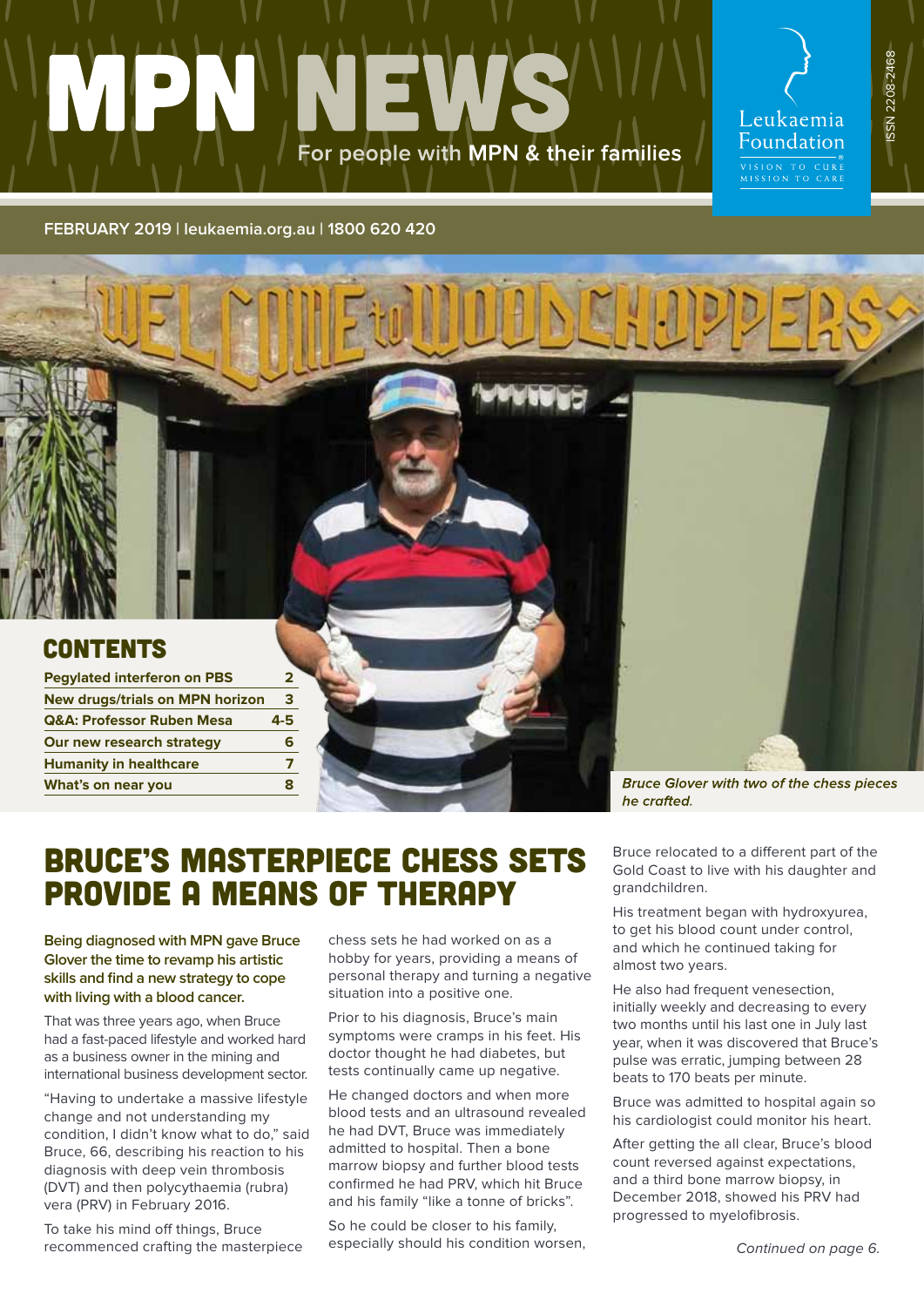# For people with MPN & their families

Leukaemia Foundation VISION TO CURE<br>MISSION TO CARE

**ERRIAD** 

SSN 2208-2468 ISSN 2208-2468

#### **[FEBRUARY 2019 | leukaemia.org.au](leukaemia.org.au) | 1800 620 420**

| <b>Pegylated interferon on PBS</b>     |     |  |
|----------------------------------------|-----|--|
| <b>New drugs/trials on MPN horizon</b> | 3   |  |
| <b>Q&amp;A: Professor Ruben Mesa</b>   | 4-5 |  |
| Our new research strategy              | 6   |  |
| <b>Humanity in healthcare</b>          | 7   |  |
| What's on near you                     | 8   |  |
|                                        |     |  |

he crafted.

**Bruce Glover with two of the chess pieces** 

## BRUCE'S MASTERPIECE CHESS SETS PROVIDE A MEANS OF THERAPY

**Being diagnosed with MPN gave Bruce Glover the time to revamp his artistic skills and find a new strategy to cope with living with a blood cancer.**

That was three years ago, when Bruce had a fast-paced lifestyle and worked hard as a business owner in the mining and international business development sector.

"Having to undertake a massive lifestyle change and not understanding my condition, I didn't know what to do," said Bruce, 66, describing his reaction to his diagnosis with deep vein thrombosis (DVT) and then polycythaemia (rubra) vera (PRV) in February 2016.

To take his mind off things, Bruce recommenced crafting the masterpiece chess sets he had worked on as a hobby for years, providing a means of personal therapy and turning a negative situation into a positive one.

Prior to his diagnosis, Bruce's main symptoms were cramps in his feet. His doctor thought he had diabetes, but tests continually came up negative.

He changed doctors and when more blood tests and an ultrasound revealed he had DVT, Bruce was immediately admitted to hospital. Then a bone marrow biopsy and further blood tests confirmed he had PRV, which hit Bruce and his family "like a tonne of bricks".

So he could be closer to his family, especially should his condition worsen, Bruce relocated to a different part of the Gold Coast to live with his daughter and grandchildren.

His treatment began with hydroxyurea, to get his blood count under control, and which he continued taking for almost two years.

He also had frequent venesection, initially weekly and decreasing to every two months until his last one in July last year, when it was discovered that Bruce's pulse was erratic, jumping between 28 beats to 170 beats per minute.

Bruce was admitted to hospital again so his cardiologist could monitor his heart.

After getting the all clear, Bruce's blood count reversed against expectations, and a third bone marrow biopsy, in December 2018, showed his PRV had progressed to myelofibrosis.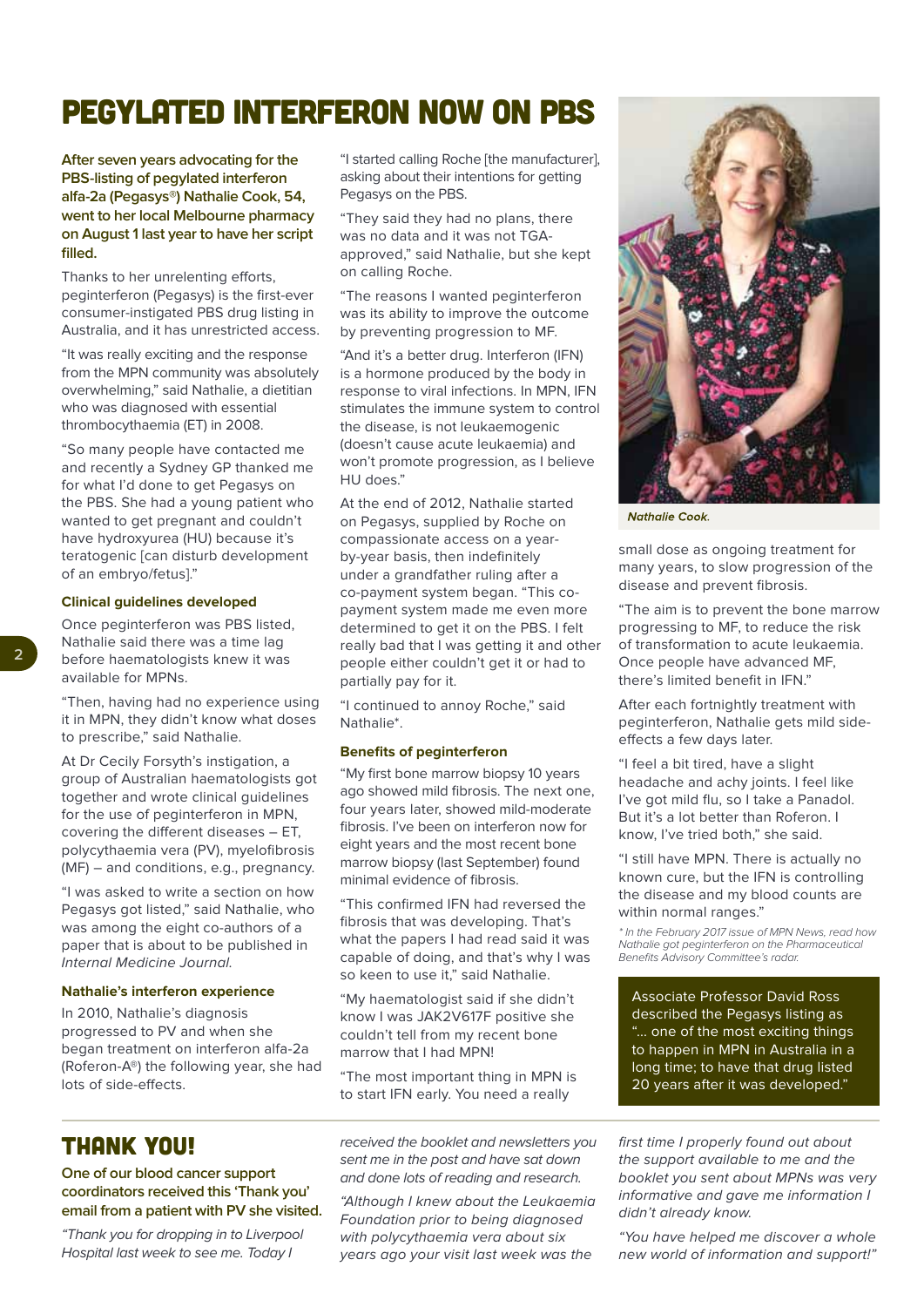## PEGYLATED INTERFERON NOW ON PBS

**After seven years advocating for the PBS-listing of pegylated interferon alfa-2a (Pegasys®) Nathalie Cook, 54, went to her local Melbourne pharmacy on August 1 last year to have her script filled.**

Thanks to her unrelenting efforts, peginterferon (Pegasys) is the first-ever consumer-instigated PBS drug listing in Australia, and it has unrestricted access.

"It was really exciting and the response from the MPN community was absolutely overwhelming," said Nathalie, a dietitian who was diagnosed with essential thrombocythaemia (ET) in 2008.

"So many people have contacted me and recently a Sydney GP thanked me for what I'd done to get Pegasys on the PBS. She had a young patient who wanted to get pregnant and couldn't have hydroxyurea (HU) because it's teratogenic [can disturb development of an embryo/fetus]."

#### **Clinical guidelines developed**

Once peginterferon was PBS listed, Nathalie said there was a time lag before haematologists knew it was available for MPNs.

"Then, having had no experience using it in MPN, they didn't know what doses to prescribe," said Nathalie.

At Dr Cecily Forsyth's instigation, a group of Australian haematologists got together and wrote clinical guidelines for the use of peginterferon in MPN, covering the different diseases – ET, polycythaemia vera (PV), myelofibrosis (MF) – and conditions, e.g., pregnancy.

"I was asked to write a section on how Pegasys got listed," said Nathalie, who was among the eight co-authors of a paper that is about to be published in Internal Medicine Journal.

#### **Nathalie's interferon experience**

In 2010, Nathalie's diagnosis progressed to PV and when she began treatment on interferon alfa-2a (Roferon-A®) the following year, she had lots of side-effects.

"I started calling Roche [the manufacturer], asking about their intentions for getting Pegasys on the PBS.

"They said they had no plans, there was no data and it was not TGAapproved," said Nathalie, but she kept on calling Roche.

"The reasons I wanted peginterferon was its ability to improve the outcome by preventing progression to MF.

"And it's a better drug. Interferon (IFN) is a hormone produced by the body in response to viral infections. In MPN, IFN stimulates the immune system to control the disease, is not leukaemogenic (doesn't cause acute leukaemia) and won't promote progression, as I believe HU does."

At the end of 2012, Nathalie started on Pegasys, supplied by Roche on compassionate access on a yearby-year basis, then indefinitely under a grandfather ruling after a co-payment system began. "This copayment system made me even more determined to get it on the PBS. I felt really bad that I was getting it and other people either couldn't get it or had to partially pay for it.

"I continued to annoy Roche," said Nathalie\*.

#### **Benefits of peginterferon**

"My first bone marrow biopsy 10 years ago showed mild fibrosis. The next one, four years later, showed mild-moderate fibrosis. I've been on interferon now for eight years and the most recent bone marrow biopsy (last September) found minimal evidence of fibrosis.

"This confirmed IFN had reversed the fibrosis that was developing. That's what the papers I had read said it was capable of doing, and that's why I was so keen to use it," said Nathalie.

"My haematologist said if she didn't know I was JAK2V617F positive she couldn't tell from my recent bone marrow that I had MPN!

"The most important thing in MPN is to start IFN early. You need a really

received the booklet and newsletters you sent me in the post and have sat down and done lots of reading and research.

"Although I knew about the Leukaemia Foundation prior to being diagnosed with polycythaemia vera about six years ago your visit last week was the



**Nathalie Cook.** 

small dose as ongoing treatment for many years, to slow progression of the disease and prevent fibrosis.

"The aim is to prevent the bone marrow progressing to MF, to reduce the risk of transformation to acute leukaemia. Once people have advanced MF, there's limited benefit in IFN."

After each fortnightly treatment with peginterferon, Nathalie gets mild sideeffects a few days later.

"I feel a bit tired, have a slight headache and achy joints. I feel like I've got mild flu, so I take a Panadol. But it's a lot better than Roferon. I know, I've tried both," she said.

"I still have MPN. There is actually no known cure, but the IFN is controlling the disease and my blood counts are within normal ranges."

\* In the February 2017 issue of MPN News, read how Nathalie got peginterferon on the Pharmaceutical Benefits Advisory Committee's radar.

Associate Professor David Ross described the Pegasys listing as "... one of the most exciting things to happen in MPN in Australia in a long time; to have that drug listed 20 years after it was developed."

first time I properly found out about the support available to me and the booklet you sent about MPNs was very informative and gave me information I didn't already know.

"You have helped me discover a whole new world of information and support!"

THANK YOU!

**One of our blood cancer support coordinators received this 'Thank you' email from a patient with PV she visited.**

"Thank you for dropping in to Liverpool Hospital last week to see me. Today I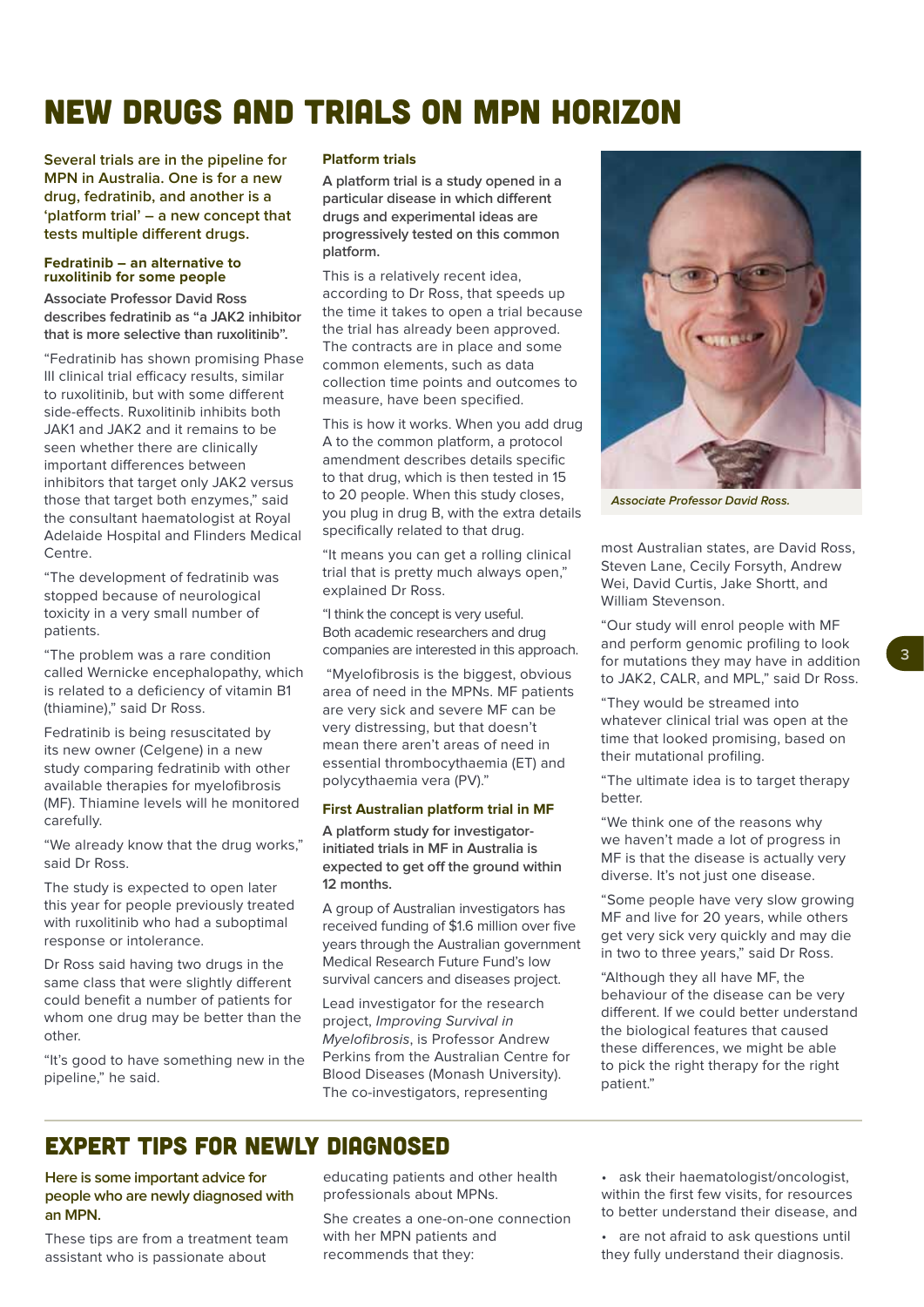## NEW DRUGS AND TRIALS ON MPN HORIZON

**Several trials are in the pipeline for MPN in Australia. One is for a new drug, fedratinib, and another is a 'platform trial' – a new concept that tests multiple different drugs.**

#### **Fedratinib – an alternative to ruxolitinib for some people**

**Associate Professor David Ross describes fedratinib as "a JAK2 inhibitor that is more selective than ruxolitinib".** 

"Fedratinib has shown promising Phase III clinical trial efficacy results, similar to ruxolitinib, but with some different side-effects. Ruxolitinib inhibits both JAK1 and JAK2 and it remains to be seen whether there are clinically important differences between inhibitors that target only JAK2 versus those that target both enzymes," said the consultant haematologist at Royal Adelaide Hospital and Flinders Medical Centre.

"The development of fedratinib was stopped because of neurological toxicity in a very small number of patients.

"The problem was a rare condition called Wernicke encephalopathy, which is related to a deficiency of vitamin B1 (thiamine)," said Dr Ross.

Fedratinib is being resuscitated by its new owner (Celgene) in a new study comparing fedratinib with other available therapies for myelofibrosis (MF). Thiamine levels will he monitored carefully.

"We already know that the drug works," said Dr Ross.

The study is expected to open later this year for people previously treated with ruxolitinib who had a suboptimal response or intolerance.

Dr Ross said having two drugs in the same class that were slightly different could benefit a number of patients for whom one drug may be better than the other.

"It's good to have something new in the pipeline," he said.

#### **Platform trials**

**A platform trial is a study opened in a particular disease in which different drugs and experimental ideas are progressively tested on this common platform.** 

This is a relatively recent idea, according to Dr Ross, that speeds up the time it takes to open a trial because the trial has already been approved. The contracts are in place and some common elements, such as data collection time points and outcomes to measure, have been specified.

This is how it works. When you add drug A to the common platform, a protocol amendment describes details specific to that drug, which is then tested in 15 to 20 people. When this study closes, you plug in drug B, with the extra details specifically related to that drug.

"It means you can get a rolling clinical trial that is pretty much always open," explained Dr Ross.

"I think the concept is very useful. Both academic researchers and drug companies are interested in this approach.

 "Myelofibrosis is the biggest, obvious area of need in the MPNs. MF patients are very sick and severe MF can be very distressing, but that doesn't mean there aren't areas of need in essential thrombocythaemia (ET) and polycythaemia vera (PV)."

#### **First Australian platform trial in MF**

**A platform study for investigatorinitiated trials in MF in Australia is expected to get off the ground within 12 months.** 

A group of Australian investigators has received funding of \$1.6 million over five years through the Australian government Medical Research Future Fund's low survival cancers and diseases project.

Lead investigator for the research project, Improving Survival in Myelofibrosis, is Professor Andrew Perkins from the Australian Centre for Blood Diseases (Monash University). The co-investigators, representing



**Associate Professor David Ross.**

most Australian states, are David Ross, Steven Lane, Cecily Forsyth, Andrew Wei, David Curtis, Jake Shortt, and William Stevenson.

"Our study will enrol people with MF and perform genomic profiling to look for mutations they may have in addition to JAK2, CALR, and MPL," said Dr Ross.

"They would be streamed into

whatever clinical trial was open at the time that looked promising, based on their mutational profiling.

"The ultimate idea is to target therapy better.

"We think one of the reasons why we haven't made a lot of progress in MF is that the disease is actually very diverse. It's not just one disease.

"Some people have very slow growing MF and live for 20 years, while others get very sick very quickly and may die in two to three years," said Dr Ross.

"Although they all have MF, the behaviour of the disease can be very different. If we could better understand the biological features that caused these differences, we might be able to pick the right therapy for the right patient."

#### EXPERT TIPS FOR NEWLY DIAGNOSED

**Here is some important advice for people who are newly diagnosed with an MPN.** 

These tips are from a treatment team assistant who is passionate about

educating patients and other health professionals about MPNs.

She creates a one-on-one connection with her MPN patients and recommends that they:

• ask their haematologist/oncologist, within the first few visits, for resources to better understand their disease, and

are not afraid to ask questions until they fully understand their diagnosis.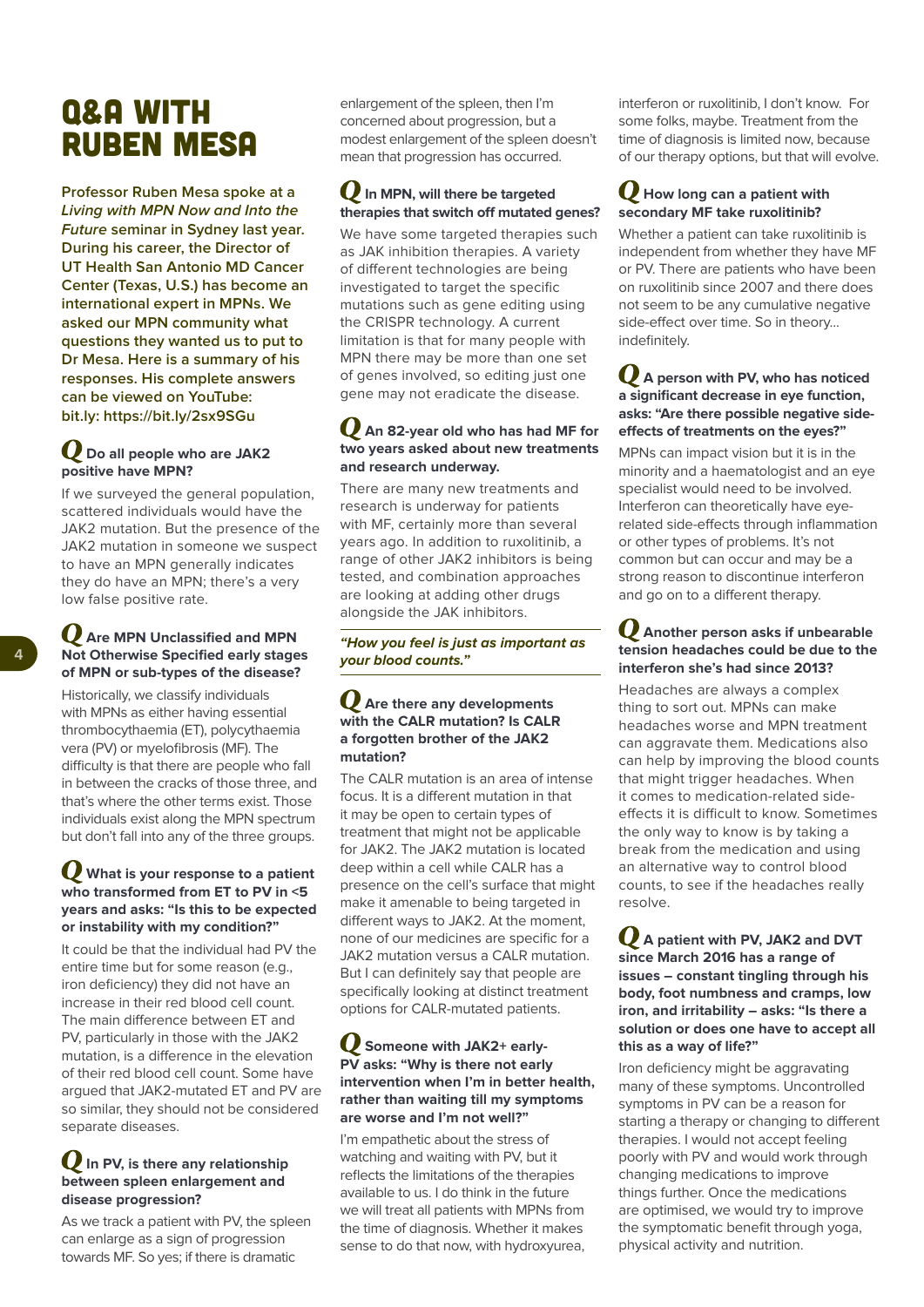## Q&A WITH RUBEN MESA

**Professor Ruben Mesa spoke at a Living with MPN Now and Into the Future seminar in Sydney last year. During his career, the Director of UT Health San Antonio MD Cancer Center (Texas, U.S.) has become an international expert in MPNs. We asked our MPN community what questions they wanted us to put to Dr Mesa. Here is a summary of his responses. His complete answers can be viewed on YouTube: bit.ly: https://bit.ly/2sx9SGu**

#### **Do all people who are JAK2 positive have MPN?**

If we surveyed the general population, scattered individuals would have the JAK2 mutation. But the presence of the JAK2 mutation in someone we suspect to have an MPN generally indicates they do have an MPN; there's a very low false positive rate.

#### **Are MPN Unclassified and MPN Not Otherwise Specified early stages of MPN or sub-types of the disease?**

Historically, we classify individuals with MPNs as either having essential thrombocythaemia (ET), polycythaemia vera (PV) or myelofibrosis (MF). The difficulty is that there are people who fall in between the cracks of those three, and that's where the other terms exist. Those individuals exist along the MPN spectrum but don't fall into any of the three groups.

#### **What is your response to a patient who transformed from ET to PV in <5 years and asks: "Is this to be expected or instability with my condition?"**

It could be that the individual had PV the entire time but for some reason (e.g., iron deficiency) they did not have an increase in their red blood cell count. The main difference between ET and PV, particularly in those with the JAK2 mutation, is a difference in the elevation of their red blood cell count. Some have argued that JAK2-mutated ET and PV are so similar, they should not be considered separate diseases.

#### **In PV, is there any relationship between spleen enlargement and disease progression?**

As we track a patient with PV, the spleen can enlarge as a sign of progression towards MF. So yes; if there is dramatic

enlargement of the spleen, then I'm concerned about progression, but a modest enlargement of the spleen doesn't mean that progression has occurred.

#### **In MPN, will there be targeted therapies that switch off mutated genes?**

We have some targeted therapies such as JAK inhibition therapies. A variety of different technologies are being investigated to target the specific mutations such as gene editing using the CRISPR technology. A current limitation is that for many people with MPN there may be more than one set of genes involved, so editing just one gene may not eradicate the disease.

#### **An 82-year old who has had MF for two years asked about new treatments and research underway.**

There are many new treatments and research is underway for patients with MF, certainly more than several years ago. In addition to ruxolitinib, a range of other JAK2 inhibitors is being tested, and combination approaches are looking at adding other drugs alongside the JAK inhibitors.

#### **"How you feel is just as important as your blood counts."**

#### **Are there any developments with the CALR mutation? Is CALR a forgotten brother of the JAK2 mutation?**

The CALR mutation is an area of intense focus. It is a different mutation in that it may be open to certain types of treatment that might not be applicable for JAK2. The JAK2 mutation is located deep within a cell while CALR has a presence on the cell's surface that might make it amenable to being targeted in different ways to JAK2. At the moment, none of our medicines are specific for a JAK2 mutation versus a CALR mutation. But I can definitely say that people are specifically looking at distinct treatment options for CALR-mutated patients.

#### **Someone with JAK2+ early-PV asks: "Why is there not early intervention when I'm in better health, rather than waiting till my symptoms are worse and I'm not well?"**

I'm empathetic about the stress of watching and waiting with PV, but it reflects the limitations of the therapies available to us. I do think in the future we will treat all patients with MPNs from the time of diagnosis. Whether it makes sense to do that now, with hydroxyurea,

interferon or ruxolitinib, I don't know. For some folks, maybe. Treatment from the time of diagnosis is limited now, because of our therapy options, but that will evolve.

#### **How long can a patient with secondary MF take ruxolitinib?**

Whether a patient can take ruxolitinib is independent from whether they have MF or PV. There are patients who have been on ruxolitinib since 2007 and there does not seem to be any cumulative negative side-effect over time. So in theory... indefinitely.

#### **A person with PV, who has noticed a significant decrease in eye function, asks: "Are there possible negative sideeffects of treatments on the eyes?"**

MPNs can impact vision but it is in the minority and a haematologist and an eye specialist would need to be involved. Interferon can theoretically have eyerelated side-effects through inflammation or other types of problems. It's not common but can occur and may be a strong reason to discontinue interferon and go on to a different therapy.

#### **Another person asks if unbearable tension headaches could be due to the interferon she's had since 2013?**

Headaches are always a complex thing to sort out. MPNs can make headaches worse and MPN treatment can aggravate them. Medications also can help by improving the blood counts that might trigger headaches. When it comes to medication-related sideeffects it is difficult to know. Sometimes the only way to know is by taking a break from the medication and using an alternative way to control blood counts, to see if the headaches really resolve.

#### **A patient with PV, JAK2 and DVT since March 2016 has a range of issues – constant tingling through his body, foot numbness and cramps, low iron, and irritability – asks: "Is there a solution or does one have to accept all this as a way of life?"**

Iron deficiency might be aggravating many of these symptoms. Uncontrolled symptoms in PV can be a reason for starting a therapy or changing to different therapies. I would not accept feeling poorly with PV and would work through changing medications to improve things further. Once the medications are optimised, we would try to improve the symptomatic benefit through yoga, physical activity and nutrition.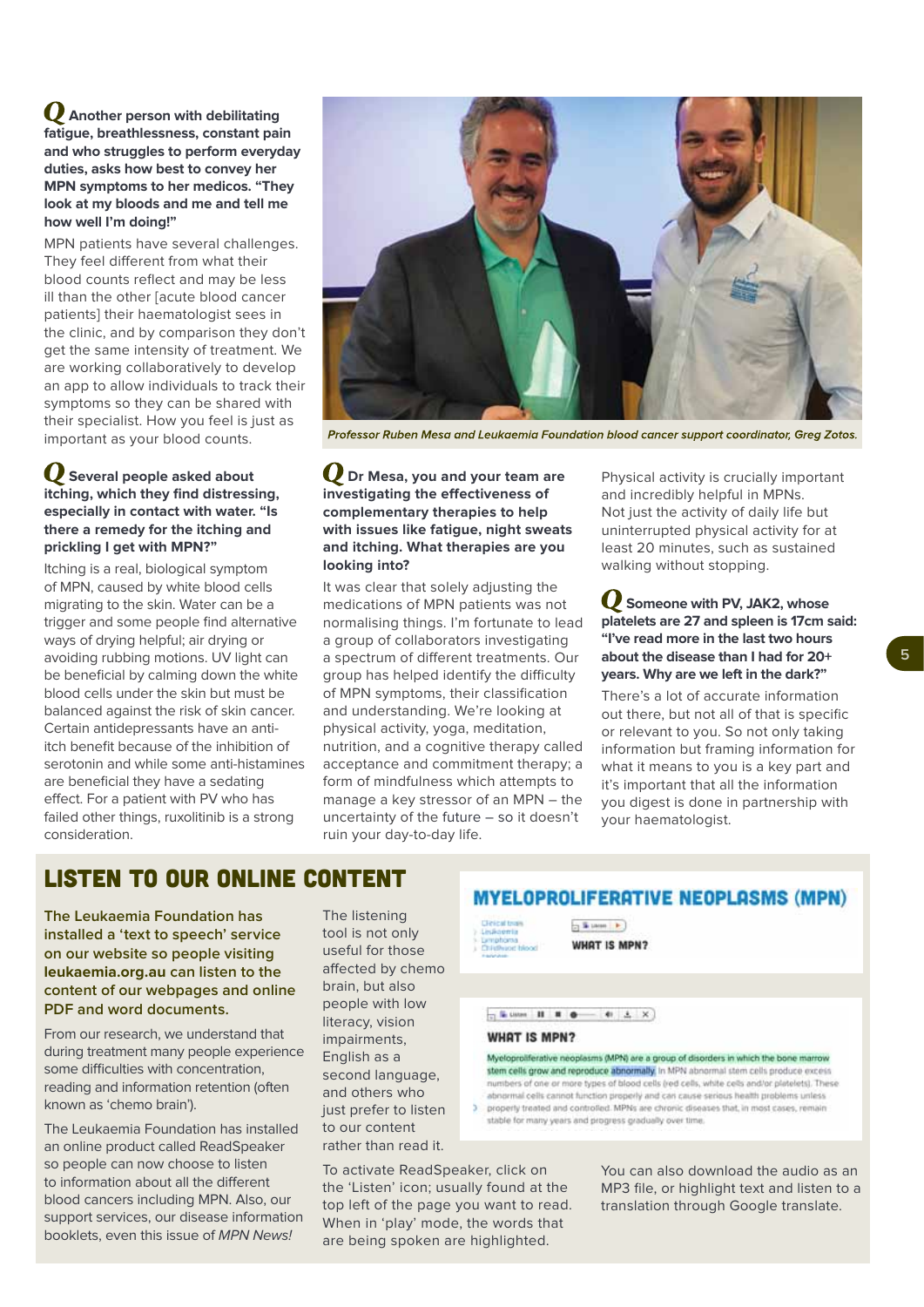**Another person with debilitating fatigue, breathlessness, constant pain and who struggles to perform everyday duties, asks how best to convey her MPN symptoms to her medicos. "They look at my bloods and me and tell me how well I'm doing!"**

MPN patients have several challenges. They feel different from what their blood counts reflect and may be less ill than the other [acute blood cancer patients] their haematologist sees in the clinic, and by comparison they don't get the same intensity of treatment. We are working collaboratively to develop an app to allow individuals to track their symptoms so they can be shared with their specialist. How you feel is just as important as your blood counts.

#### **Several people asked about itching, which they find distressing, especially in contact with water. "Is there a remedy for the itching and prickling I get with MPN?"**

Itching is a real, biological symptom of MPN, caused by white blood cells migrating to the skin. Water can be a trigger and some people find alternative ways of drying helpful; air drying or avoiding rubbing motions. UV light can be beneficial by calming down the white blood cells under the skin but must be balanced against the risk of skin cancer. Certain antidepressants have an antiitch benefit because of the inhibition of serotonin and while some anti-histamines are beneficial they have a sedating effect. For a patient with PV who has failed other things, ruxolitinib is a strong consideration.



Professor Ruben Mesa and Leukaemia Foundation blood cancer support coordinator, Greg Zotos

#### **Dr Mesa, you and your team are investigating the effectiveness of complementary therapies to help with issues like fatigue, night sweats and itching. What therapies are you looking into?**

It was clear that solely adjusting the medications of MPN patients was not normalising things. I'm fortunate to lead a group of collaborators investigating a spectrum of different treatments. Our group has helped identify the difficulty of MPN symptoms, their classification and understanding. We're looking at physical activity, yoga, meditation, nutrition, and a cognitive therapy called acceptance and commitment therapy; a form of mindfulness which attempts to manage a key stressor of an MPN – the uncertainty of the future – so it doesn't ruin your day-to-day life.

Physical activity is crucially important and incredibly helpful in MPNs. Not just the activity of daily life but uninterrupted physical activity for at least 20 minutes, such as sustained walking without stopping.

**Someone with PV, JAK2, whose platelets are 27 and spleen is 17cm said: "I've read more in the last two hours about the disease than I had for 20+ years. Why are we left in the dark?"**

There's a lot of accurate information out there, but not all of that is specific or relevant to you. So not only taking information but framing information for what it means to you is a key part and it's important that all the information you digest is done in partnership with your haematologist.

### LISTEN TO OUR ONLINE CONTENT

**The Leukaemia Foundation has installed a 'text to speech' service on our website so people visiting [leukaemia.org.au](leukaemia.org.au/research) can listen to the content of our webpages and online PDF and word documents.**

From our research, we understand that during treatment many people experience some difficulties with concentration, reading and information retention (often known as 'chemo brain').

The Leukaemia Foundation has installed an online product called ReadSpeaker so people can now choose to listen to information about all the different blood cancers including MPN. Also, our support services, our disease information booklets, even this issue of MPN News!

The listening tool is not only useful for those affected by chemo brain, but also people with low literacy, vision impairments, English as a second language, and others who just prefer to listen to our content rather than read it.

To activate ReadSpeaker, click on the 'Listen' icon; usually found at the top left of the page you want to read. When in 'play' mode, the words that are being spoken are highlighted.

#### **MYELOPROLIFERATIVE NEOPLASMS (MPN)**

**WHAT IS MPN?** 

 $\rightarrow$  5 percent  $\rightarrow$ 

 $-4$  in  $-1$  if  $-1$ 41 A. X

#### **WHAT IS MPN?**

Myeloproliferative neoplasms (MPN) are a group of disorders in which the bone marrow stem cells grow and reproduce abnormally, in MPN abnormal stem cells produce excess numbers of one or more types of blood cells (red cells, white cells and/or platelets). These abnormal cells cannot function properly and can cause serious health problems unless 3 property treated and controlled. MPNs are chronic diseases that, in most cases, remain stable for many years and progress gradually over time.

> You can also download the audio as an MP3 file, or highlight text and listen to a translation through Google translate.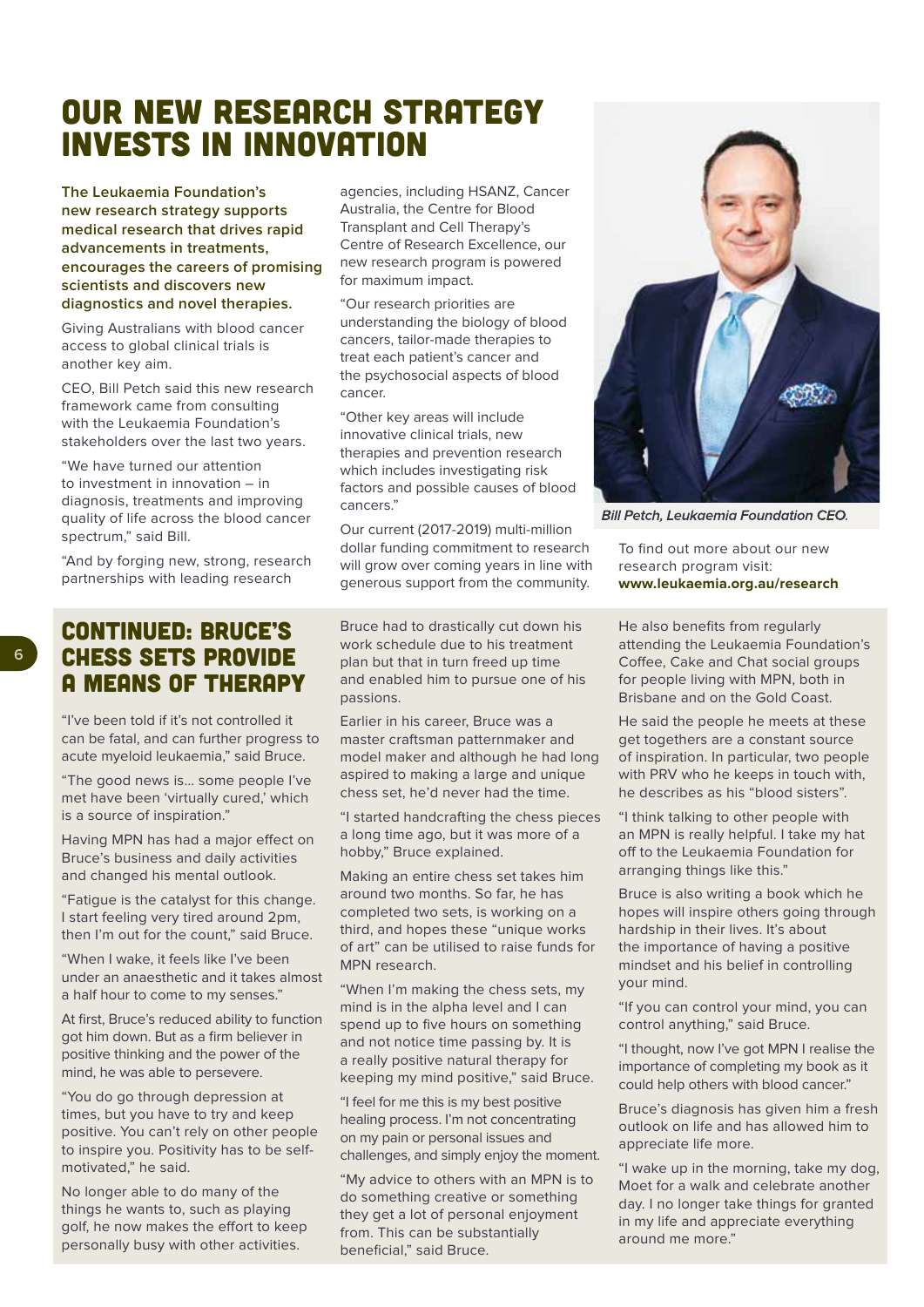## OUR NEW RESEARCH STRATEGY INVESTS IN INNOVATION

**The Leukaemia Foundation's new research strategy supports medical research that drives rapid advancements in treatments, encourages the careers of promising scientists and discovers new diagnostics and novel therapies.**

Giving Australians with blood cancer access to global clinical trials is another key aim.

CEO, Bill Petch said this new research framework came from consulting with the Leukaemia Foundation's stakeholders over the last two years.

"We have turned our attention to investment in innovation – in diagnosis, treatments and improving quality of life across the blood cancer spectrum," said Bill.

"And by forging new, strong, research partnerships with leading research

CONTINUED: BRUCE'S CHESS SETS PROVIDE A MEANS OF THERAPY

"I've been told if it's not controlled it can be fatal, and can further progress to acute myeloid leukaemia," said Bruce.

"The good news is… some people I've met have been 'virtually cured,' which is a source of inspiration."

Having MPN has had a major effect on Bruce's business and daily activities and changed his mental outlook.

"Fatigue is the catalyst for this change. I start feeling very tired around 2pm, then I'm out for the count," said Bruce.

"When I wake, it feels like I've been under an anaesthetic and it takes almost a half hour to come to my senses."

At first, Bruce's reduced ability to function got him down. But as a firm believer in positive thinking and the power of the mind, he was able to persevere.

"You do go through depression at times, but you have to try and keep positive. You can't rely on other people to inspire you. Positivity has to be selfmotivated," he said.

No longer able to do many of the things he wants to, such as playing golf, he now makes the effort to keep personally busy with other activities.

agencies, including HSANZ, Cancer Australia, the Centre for Blood Transplant and Cell Therapy's Centre of Research Excellence, our new research program is powered for maximum impact.

"Our research priorities are understanding the biology of blood cancers, tailor-made therapies to treat each patient's cancer and the psychosocial aspects of blood cancer.

"Other key areas will include innovative clinical trials, new therapies and prevention research which includes investigating risk factors and possible causes of blood cancers."

Our current (2017-2019) multi-million dollar funding commitment to research will grow over coming years in line with generous support from the community.

Bruce had to drastically cut down his work schedule due to his treatment plan but that in turn freed up time and enabled him to pursue one of his passions.

Earlier in his career, Bruce was a master craftsman patternmaker and model maker and although he had long aspired to making a large and unique chess set, he'd never had the time.

"I started handcrafting the chess pieces a long time ago, but it was more of a hobby," Bruce explained.

Making an entire chess set takes him around two months. So far, he has completed two sets, is working on a third, and hopes these "unique works of art" can be utilised to raise funds for MPN research.

"When I'm making the chess sets, my mind is in the alpha level and I can spend up to five hours on something and not notice time passing by. It is a really positive natural therapy for keeping my mind positive," said Bruce.

"I feel for me this is my best positive healing process. I'm not concentrating on my pain or personal issues and challenges, and simply enjoy the moment.

"My advice to others with an MPN is to do something creative or something they get a lot of personal enjoyment from. This can be substantially beneficial," said Bruce.



**Bill Petch, Leukaemia Foundation CEO.** 

To find out more about our new research program visit: **www.<leukaemia.org.au/research>**

He also benefits from regularly attending the Leukaemia Foundation's Coffee, Cake and Chat social groups for people living with MPN, both in Brisbane and on the Gold Coast.

He said the people he meets at these get togethers are a constant source of inspiration. In particular, two people with PRV who he keeps in touch with, he describes as his "blood sisters".

"I think talking to other people with an MPN is really helpful. I take my hat off to the Leukaemia Foundation for arranging things like this."

Bruce is also writing a book which he hopes will inspire others going through hardship in their lives. It's about the importance of having a positive mindset and his belief in controlling your mind.

"If you can control your mind, you can control anything," said Bruce.

"I thought, now I've got MPN I realise the importance of completing my book as it could help others with blood cancer."

Bruce's diagnosis has given him a fresh outlook on life and has allowed him to appreciate life more.

"I wake up in the morning, take my dog, Moet for a walk and celebrate another day. I no longer take things for granted in my life and appreciate everything around me more."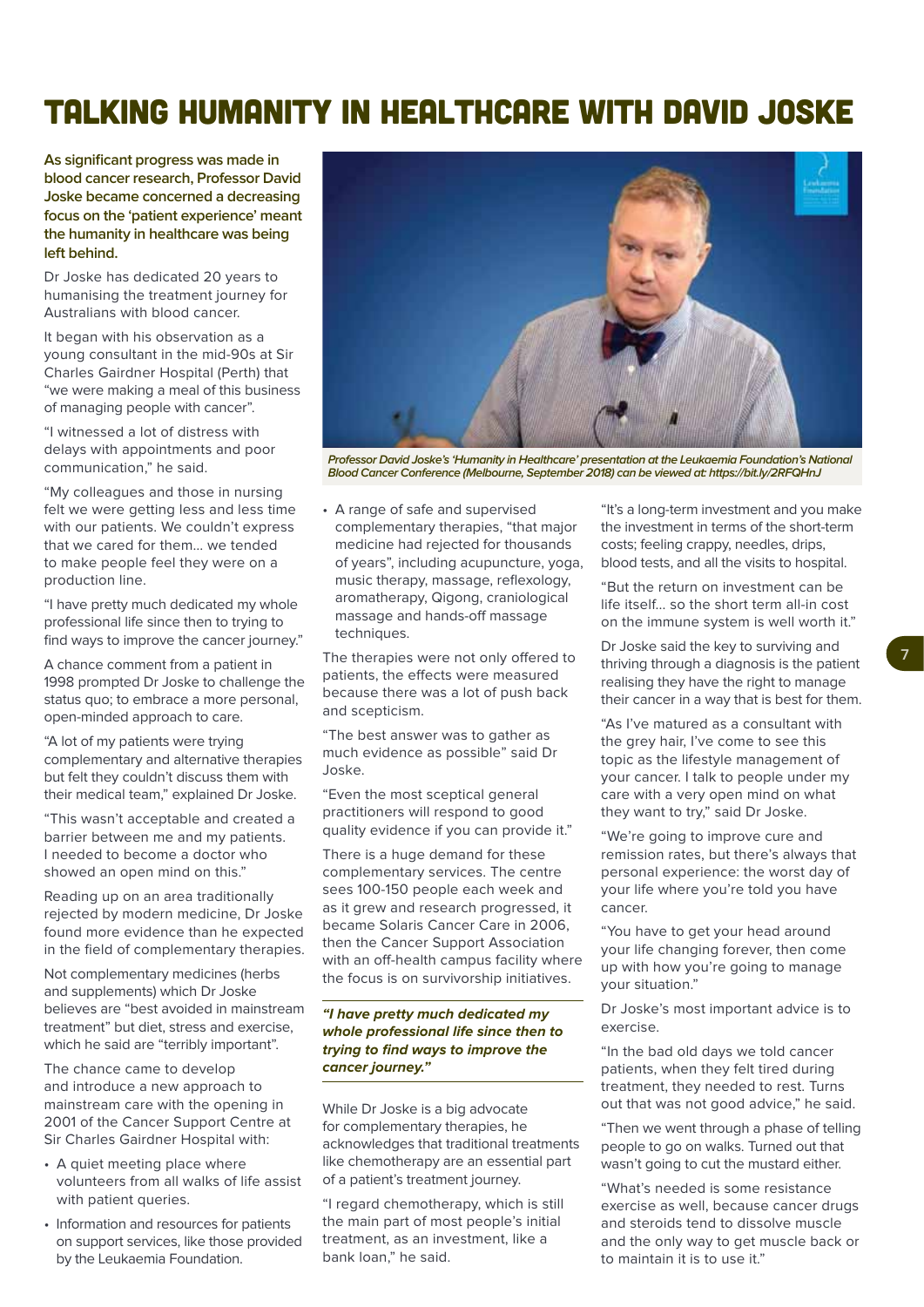## TALKING HUMANITY IN HEALTHCARE WITH DAVID JOSKE

**As significant progress was made in blood cancer research, Professor David Joske became concerned a decreasing focus on the 'patient experience' meant the humanity in healthcare was being left behind.**

Dr Joske has dedicated 20 years to humanising the treatment journey for Australians with blood cancer.

It began with his observation as a young consultant in the mid-90s at Sir Charles Gairdner Hospital (Perth) that "we were making a meal of this business of managing people with cancer".

"I witnessed a lot of distress with delays with appointments and poor communication," he said.

"My colleagues and those in nursing felt we were getting less and less time with our patients. We couldn't express that we cared for them… we tended to make people feel they were on a production line.

"I have pretty much dedicated my whole professional life since then to trying to find ways to improve the cancer journey."

A chance comment from a patient in 1998 prompted Dr Joske to challenge the status quo; to embrace a more personal, open-minded approach to care.

"A lot of my patients were trying complementary and alternative therapies but felt they couldn't discuss them with their medical team," explained Dr Joske.

"This wasn't acceptable and created a barrier between me and my patients. I needed to become a doctor who showed an open mind on this."

Reading up on an area traditionally rejected by modern medicine, Dr Joske found more evidence than he expected in the field of complementary therapies.

Not complementary medicines (herbs and supplements) which Dr Joske believes are "best avoided in mainstream treatment" but diet, stress and exercise, which he said are "terribly important".

The chance came to develop and introduce a new approach to mainstream care with the opening in 2001 of the Cancer Support Centre at Sir Charles Gairdner Hospital with:

- A quiet meeting place where volunteers from all walks of life assist with patient queries.
- Information and resources for patients on support services, like those provided by the Leukaemia Foundation.



**Professor David Joske's 'Humanity in Healthcare' presentation at the Leukaemia Foundation's National Blood Cancer Conference (Melbourne, September 2018) can be viewed at:<https://bit.ly/2RFQHnJ>**

• A range of safe and supervised complementary therapies, "that major medicine had rejected for thousands of years", including acupuncture, yoga, music therapy, massage, reflexology, aromatherapy, Qigong, craniological massage and hands-off massage techniques.

The therapies were not only offered to patients, the effects were measured because there was a lot of push back and scepticism.

"The best answer was to gather as much evidence as possible" said Dr Joske.

"Even the most sceptical general practitioners will respond to good quality evidence if you can provide it."

There is a huge demand for these complementary services. The centre sees 100-150 people each week and as it grew and research progressed, it became Solaris Cancer Care in 2006, then the Cancer Support Association with an off-health campus facility where the focus is on survivorship initiatives.

#### **"I have pretty much dedicated my whole professional life since then to trying to find ways to improve the cancer journey."**

While Dr Joske is a big advocate for complementary therapies, he acknowledges that traditional treatments like chemotherapy are an essential part of a patient's treatment journey.

"I regard chemotherapy, which is still the main part of most people's initial treatment, as an investment, like a bank loan," he said.

"It's a long-term investment and you make the investment in terms of the short-term costs; feeling crappy, needles, drips, blood tests, and all the visits to hospital.

"But the return on investment can be life itself... so the short term all-in cost on the immune system is well worth it."

Dr Joske said the key to surviving and thriving through a diagnosis is the patient realising they have the right to manage their cancer in a way that is best for them.

"As I've matured as a consultant with the grey hair, I've come to see this topic as the lifestyle management of your cancer. I talk to people under my care with a very open mind on what they want to try," said Dr Joske.

"We're going to improve cure and remission rates, but there's always that personal experience: the worst day of your life where you're told you have cancer.

"You have to get your head around your life changing forever, then come up with how you're going to manage your situation."

Dr Joske's most important advice is to exercise.

"In the bad old days we told cancer patients, when they felt tired during treatment, they needed to rest. Turns out that was not good advice," he said.

"Then we went through a phase of telling people to go on walks. Turned out that wasn't going to cut the mustard either.

"What's needed is some resistance exercise as well, because cancer drugs and steroids tend to dissolve muscle and the only way to get muscle back or to maintain it is to use it."